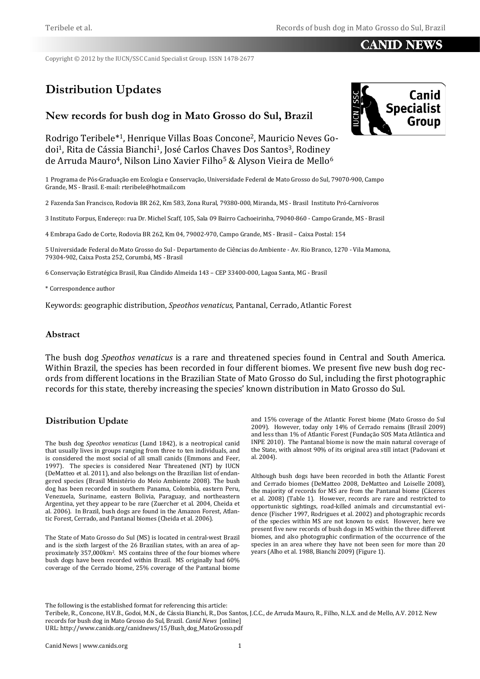## CANID NEWS

Copyright © 2012 by the IUCN/SSC Canid Specialist Group. ISSN 1478-2677

# **Distribution Updates**

## **New records for bush dog in Mato Grosso do Sul, Brazil**



Rodrigo Teribele\*1, Henrique Villas Boas Concone2, Mauricio Neves Godoi<sup>1</sup>, Rita de Cássia Bianchi<sup>1</sup>, José Carlos Chaves Dos Santos<sup>3</sup>, Rodiney de Arruda Mauro<sup>4</sup>, Nilson Lino Xavier Filho<sup>5</sup> & Alyson Vieira de Mello<sup>6</sup>

1 Programa de Pós-Graduação em Ecologia e Conservação, Universidade Federal de Mato Grosso do Sul, 79070-900, Campo Grande, MS - Brasil. E-mail: rteribele@hotmail.com

2 Fazenda San Francisco, Rodovia BR 262, Km 583, Zona Rural, 79380-000, Miranda, MS - Brasil Instituto Pró-Carnívoros

3 Instituto Forpus, Endereço: rua Dr. Michel Scaff, 105, Sala 09 Bairro Cachoeirinha, 79040-860 - Campo Grande, MS - Brasil

4 Embrapa Gado de Corte, Rodovia BR 262, Km 04, 79002-970, Campo Grande, MS - Brasil – Caixa Postal: 154

5 Universidade Federal do Mato Grosso do Sul - Departamento de Ciências do Ambiente - Av. Rio Branco, 1270 - Vila Mamona, 79304-902, Caixa Posta 252, Corumbá, MS - Brasil

6 Conservação Estratégica Brasil, Rua Cândido Almeida 143 – CEP 33400-000, Lagoa Santa, MG - Brasil

\* Correspondence author

Keywords: geographic distribution, *Speothos venaticus*, Pantanal, Cerrado, Atlantic Forest

#### **Abstract**

The bush dog *Speothos venaticus* is a rare and threatened species found in Central and South America. Within Brazil, the species has been recorded in four different biomes. We present five new bush dog records from different locations in the Brazilian State of Mato Grosso do Sul, including the first photographic records for this state, thereby increasing the species' known distribution in Mato Grosso do Sul.

#### **Distribution Update**

The bush dog *Speothos venaticus* (Lund 1842), is a neotropical canid that usually lives in groups ranging from three to ten individuals, and is considered the most social of all small canids (Emmons and Feer, 1997). The species is considered Near Threatened (NT) by IUCN (DeMatteo et al. 2011), and also belongs on the Brazilian list of endangered species (Brasil Ministério do Meio Ambiente 2008). The bush dog has been recorded in southern Panama, Colombia, eastern Peru, Venezuela, Suriname, eastern Bolivia, Paraguay, and northeastern Argentina, yet they appear to be rare (Zuercher et al. 2004, Cheida et al. 2006). In Brazil, bush dogs are found in the Amazon Forest, Atlantic Forest, Cerrado, and Pantanal biomes (Cheida et al. 2006).

The State of Mato Grosso do Sul (MS) is located in central-west Brazil and is the sixth largest of the 26 Brazilian states, with an area of approximately 357,000km<sup>2</sup>. MS contains three of the four biomes where bush dogs have been recorded within Brazil. MS originally had 60% coverage of the Cerrado biome, 25% coverage of the Pantanal biome

and 15% coverage of the Atlantic Forest biome (Mato Grosso do Sul 2009). However, today only 14% of Cerrado remains (Brasil 2009) and less than 1% of Atlantic Forest (Fundação SOS Mata Atlântica and INPE 2010). The Pantanal biome is now the main natural coverage of the State, with almost 90% of its original area still intact (Padovani et al. 2004).

Although bush dogs have been recorded in both the Atlantic Forest and Cerrado biomes (DeMatteo 2008, DeMatteo and Loiselle 2008), the majority of records for MS are from the Pantanal biome (Cáceres et al. 2008) (Table 1). However, records are rare and restricted to opportunistic sightings, road-killed animals and circumstantial evidence (Fischer 1997, Rodrigues et al. 2002) and photographic records of the species within MS are not known to exist. However, here we present five new records of bush dogs in MS within the three different biomes, and also photographic confirmation of the occurrence of the species in an area where they have not been seen for more than 20 years (Alho et al. 1988, Bianchi 2009) (Figure 1).

The following is the established format for referencing this article:

Teribele, R., Concone, H.V.B., Godoi, M.N., de Cássia Bianchi, R., Dos Santos, J.C.C., de Arruda Mauro, R., Filho, N.L.X. and de Mello, A.V. 2012. New records for bush dog in Mato Grosso do Sul, Brazil. *Canid News* [online] URL: http://www.canids.org/canidnews/15/Bush\_dog\_MatoGrosso.pdf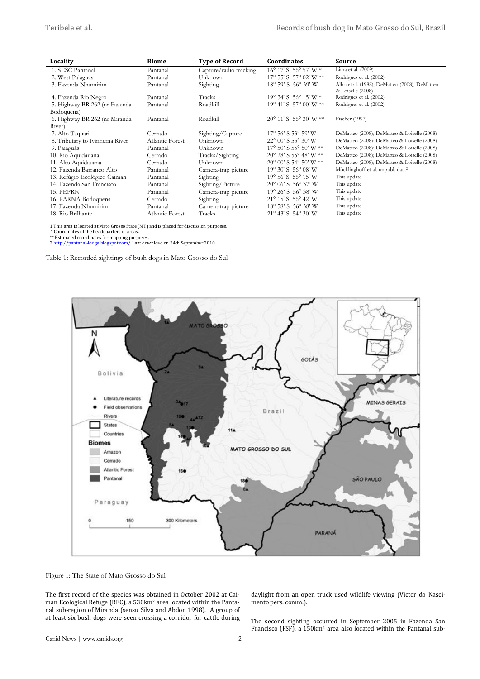| Locality                       | <b>Biome</b>    | <b>Type of Record</b>  | <b>Coordinates</b>                     | Source                                                             |
|--------------------------------|-----------------|------------------------|----------------------------------------|--------------------------------------------------------------------|
| 1. SESC Pantanal <sup>1</sup>  | Pantanal        | Capture/radio tracking | 16° 17' S 56° 57' W *                  | Lima et al. (2009)                                                 |
| 2. West Paiaguás               | Pantanal        | Unknown                | $17^{\circ}$ 55' S 57° 02' W $**$      | Rodrigues et al. (2002)                                            |
| 3. Fazenda Nhumirim            | Pantanal        | Sighting               | 18° 59' S 56° 39' W                    | Alho et al. (1988); DeMatteo (2008); DeMatteo<br>& Loiselle (2008) |
| 4. Fazenda Rio Negro           | Pantanal        | Tracks                 | 19° 34' S 56° 15' W *                  | Rodrigues et al. (2002)                                            |
| 5. Highway BR 262 (nr Fazenda  | Pantanal        | Roadkill               | 19° 41' S 57° 00' W **                 | Rodrigues et al. (2002)                                            |
| Bodoquena)                     |                 |                        |                                        |                                                                    |
| 6. Highway BR 262 (nr Miranda  | Pantanal        | Roadkill               | $20^{\circ}$ 11' S 56° 30' W **        | Fischer (1997)                                                     |
| River)                         |                 |                        |                                        |                                                                    |
| 7. Alto Taquari                | Cerrado         | Sighting/Capture       | $17^{\circ}$ 56' S 53° 59' W           | DeMatteo (2008); DeMatteo & Loiselle (2008)                        |
| 8. Tributary to Ivinhema River | Atlantic Forest | Unknown                | $22^{\circ}$ 00' S 55° 30' W           | DeMatteo (2008); DeMatteo & Loiselle (2008)                        |
| 9. Paiaguás                    | Pantanal        | Unknown                | $17^{\circ}$ 50' S 55° 50' W **        | DeMatteo (2008); DeMatteo & Loiselle (2008)                        |
| 10. Rio Aquidauana             | Cerrado         | Tracks/Sighting        | $20^{\circ}$ 28' S 55° 48' W **        | DeMatteo (2008); DeMatteo & Loiselle (2008)                        |
| 11. Alto Aquidauana            | Cerrado         | Unknown                | 20° 00' S 54° 50' W **                 | DeMatteo (2008); DeMatteo & Loiselle (2008)                        |
| 12. Fazenda Barranco Alto      | Pantanal        | Camera-trap picture    | $19^{\circ}$ 30' S 56 $^{\circ}$ 08' W | Möcklinghoff et al. unpubl. data <sup>2</sup>                      |
| 13. Refúgio Ecológico Caiman   | Pantanal        | Sighting               | $19^{\circ}$ 56' S 56 $^{\circ}$ 15' W | This update                                                        |
| 14. Fazenda San Francisco      | Pantanal        | Sighting/Picture       | $20^{\circ}$ 06' S 56 $^{\circ}$ 37' W | This update                                                        |
| 15. PEPRN                      | Pantanal        | Camera-trap picture    | 19° 26' S 56° 38' W                    | This update                                                        |
| 16. PARNA Bodoquena            | Cerrado         | Sighting               | 21° 15' S 56° 42' W                    | This update                                                        |
| 17. Fazenda Nhumirim           | Pantanal        | Camera-trap picture    | 18° 58' S 56° 38' W                    | This update                                                        |
| 18. Rio Brilhante              | Atlantic Forest | Tracks                 | $21^{\circ}$ 43' S 54° 30' W           | This update                                                        |

1 This area is located at Mato Grosso State (MT) and is placed for discussion purposes.

\* Coordinates of the headquarters of areas. \*\* Estimated coordinates for mapping purposes.

[2 http://pantanal-lodge.blogspot.com/.](http://pantanal-lodge.blogspot.com/) Last download on 24th September 2010.

Table 1: Recorded sightings of bush dogs in Mato Grosso do Sul



Figure 1: The State of Mato Grosso do Sul

The first record of the species was obtained in October 2002 at Caiman Ecological Refuge (REC), a 530km2 area located within the Pantanal sub-region of Miranda (sensu Silva and Abdon 1998). A group of at least six bush dogs were seen crossing a corridor for cattle during

daylight from an open truck used wildlife viewing (Victor do Nascimento pers. comm.).

The second sighting occurred in September 2005 in Fazenda San Francisco (FSF), a 150km2 area also located within the Pantanal sub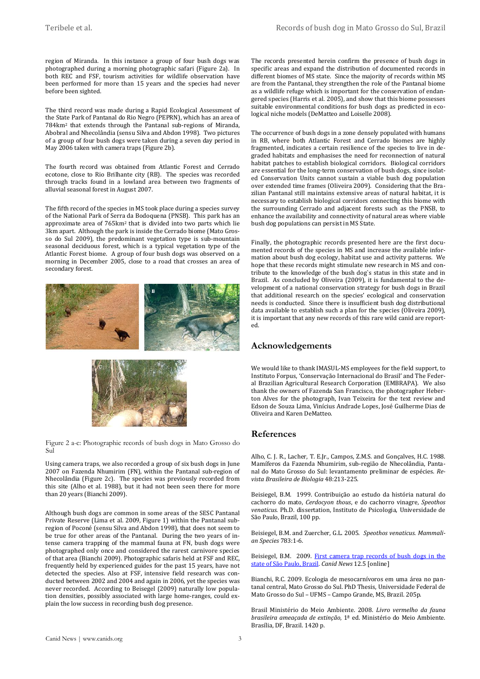region of Miranda. In this instance a group of four bush dogs was photographed during a morning photographic safari (Figure 2a). In both REC and FSF, tourism activities for wildlife observation have been performed for more than 15 years and the species had never before been sighted.

The third record was made during a Rapid Ecological Assessment of the State Park of Pantanal do Rio Negro (PEPRN), which has an area of 784km2 that extends through the Pantanal sub-regions of Miranda, Abobral and Nhecolândia (sensu Silva and Abdon 1998). Two pictures of a group of four bush dogs were taken during a seven day period in May 2006 taken with camera traps (Figure 2b).

The fourth record was obtained from Atlantic Forest and Cerrado ecotone, close to Rio Brilhante city (RB). The species was recorded through tracks found in a lowland area between two fragments of alluvial seasonal forest in August 2007.

The fifth record of the species in MS took place during a species survey of the National Park of Serra da Bodoquena (PNSB). This park has an approximate area of 765km2 that is divided into two parts which lie 3km apart. Although the park is inside the Cerrado biome (Mato Grosso do Sul 2009), the predominant vegetation type is sub-mountain seasonal deciduous forest, which is a typical vegetation type of the Atlantic Forest biome. A group of four bush dogs was observed on a morning in December 2005, close to a road that crosses an area of secondary forest.





Figure 2 a-c: Photographic records of bush dogs in Mato Grosso do Sul

Using camera traps, we also recorded a group of six bush dogs in June 2007 on Fazenda Nhumirim (FN), within the Pantanal sub-region of Nhecolândia (Figure 2c). The species was previously recorded from this site (Alho et al. 1988), but it had not been seen there for more than 20 years (Bianchi 2009).

Although bush dogs are common in some areas of the SESC Pantanal Private Reserve (Lima et al. 2009, Figure 1) within the Pantanal subregion of Poconé (sensu Silva and Abdon 1998), that does not seem to be true for other areas of the Pantanal. During the two years of intense camera trapping of the mammal fauna at FN, bush dogs were photographed only once and considered the rarest carnivore species of that area (Bianchi 2009). Photographic safaris held at FSF and REC, frequently held by experienced guides for the past 15 years, have not detected the species. Also at FSF, intensive field research was conducted between 2002 and 2004 and again in 2006, yet the species was never recorded. According to Beisegel (2009) naturally low population densities, possibly associated with large home-ranges, could explain the low success in recording bush dog presence.

The records presented herein confirm the presence of bush dogs in specific areas and expand the distribution of documented records in different biomes of MS state. Since the majority of records within MS are from the Pantanal, they strengthen the role of the Pantanal biome as a wildlife refuge which is important for the conservation of endangered species (Harris et al. 2005), and show that this biome possesses suitable environmental conditions for bush dogs as predicted in ecological niche models (DeMatteo and Loiselle 2008).

The occurrence of bush dogs in a zone densely populated with humans in RB, where both Atlantic Forest and Cerrado biomes are highly fragmented, indicates a certain resilience of the species to live in degraded habitats and emphasises the need for reconnection of natural habitat patches to establish biological corridors. Biological corridors are essential for the long-term conservation of bush dogs, since isolated Conservation Units cannot sustain a viable bush dog population over extended time frames (Oliveira 2009). Considering that the Brazilian Pantanal still maintains extensive areas of natural habitat, it is necessary to establish biological corridors connecting this biome with the surrounding Cerrado and adjacent forests such as the PNSB, to enhance the availability and connectivity of natural areas where viable bush dog populations can persist in MS State.

Finally, the photographic records presented here are the first documented records of the species in MS and increase the available information about bush dog ecology, habitat use and activity patterns. We hope that these records might stimulate new research in MS and contribute to the knowledge of the bush dog`s status in this state and in Brazil. As concluded by Oliveira (2009), it is fundamental to the development of a national conservation strategy for bush dogs in Brazil that additional research on the species' ecological and conservation needs is conducted. Since there is insufficient bush dog distributional data available to establish such a plan for the species (Oliveira 2009), it is important that any new records of this rare wild canid are reported.

#### **Acknowledgements**

We would like to thank IMASUL-MS employees for the field support, to Instituto Forpus, 'Conservação Internacional do Brasil' and The Federal Brazilian Agricultural Research Corporation (EMBRAPA). We also thank the owners of Fazenda San Francisco, the photographer Heberton Alves for the photograph, Ivan Teixeira for the text review and Edson de Souza Lima, Vinícius Andrade Lopes, José Guilherme Dias de Oliveira and Karen DeMatteo.

#### **References**

Alho, C. J. R., Lacher, T. E.Jr., Campos, Z.M.S. and Gonçalves, H.C. 1988. Mamíferos da Fazenda Nhumirim, sub-região de Nhecolândia, Pantanal do Mato Grosso do Sul: levantamento preliminar de espécies. *Revista Brasileira de Biologia* 48:213-225.

Beisiegel, B.M. 1999. Contribuição ao estudo da história natural do cachorro do mato, *Cerdocyon thous*, e do cachorro vinagre, *Speothos venaticus*. Ph.D. dissertation, Instituto de Psicologia, Universidade de São Paulo, Brazil, 100 pp.

Beisiegel, B.M. and Zuercher, G.L. 2005. *Speothos venaticus*. *Mammalian Species* 783:1-6.

Beisiegel, B.M. 2009. [First camera trap records of bush dogs in the](http://www.canids.org/canidnews/12/Bush_dogs_in_Sao_Paulo.pdf)  [state of São Paulo, Brazil.](http://www.canids.org/canidnews/12/Bush_dogs_in_Sao_Paulo.pdf) *Canid News* 12.5 [online]

Bianchi, R.C. 2009. Ecologia de mesocarnívoros em uma área no pantanal central, Mato Grosso do Sul. PhD Thesis, Universidade Federal de Mato Grosso do Sul – UFMS – Campo Grande, MS, Brazil. 205p.

Brasil Ministério do Meio Ambiente. 2008. *Livro vermelho da fauna brasileira ameaçada de extinção*, 1ª ed. Ministério do Meio Ambiente. Brasília, DF, Brazil. 1420 p.